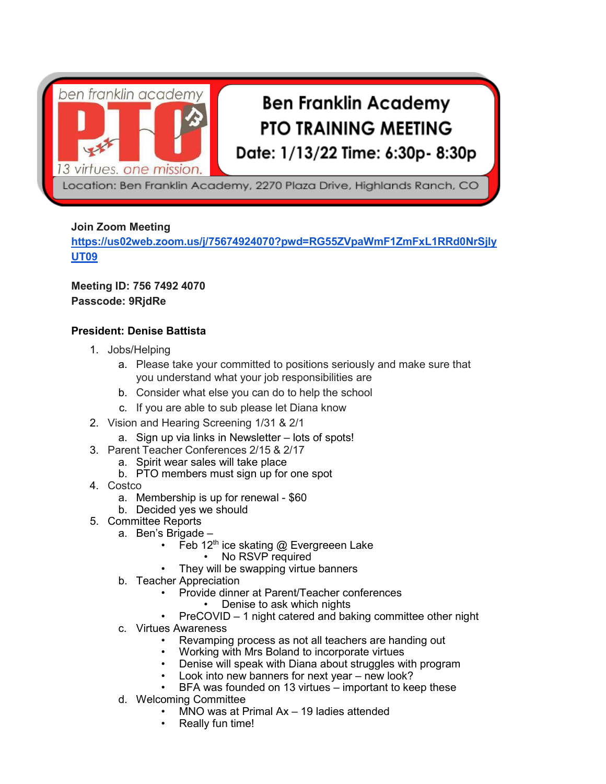

# **Ben Franklin Academy PTO TRAINING MEETING** Date: 1/13/22 Time: 6:30p- 8:30p

Location: Ben Franklin Academy, 2270 Plaza Drive, Highlands Ranch, CO

## **Join Zoom Meeting**

**[https://us02web.zoom.us/j/75674924070?pwd=RG55ZVpaWmF1ZmFxL1RRd0NrSjly](https://us02web.zoom.us/j/75674924070?pwd=RG55ZVpaWmF1ZmFxL1RRd0NrSjlyUT09) [UT09](https://us02web.zoom.us/j/75674924070?pwd=RG55ZVpaWmF1ZmFxL1RRd0NrSjlyUT09)**

# **Meeting ID: 756 7492 4070 Passcode: 9RjdRe**

## **President: Denise Battista**

- 1. Jobs/Helping
	- a. Please take your committed to positions seriously and make sure that you understand what your job responsibilities are
	- b. Consider what else you can do to help the school
	- c. If you are able to sub please let Diana know
- 2. Vision and Hearing Screening 1/31 & 2/1
	- a. Sign up via links in Newsletter lots of spots!
- 3. Parent Teacher Conferences 2/15 & 2/17
	- a. Spirit wear sales will take place
	- b. PTO members must sign up for one spot
- 4. Costco
	- a. Membership is up for renewal \$60
	- b. Decided yes we should
- 5. Committee Reports
	- a. Ben's Brigade
		- Feb  $12<sup>th</sup>$  ice skating @ Evergreeen Lake
			- No RSVP required
			- They will be swapping virtue banners
	- b. Teacher Appreciation
		- Provide dinner at Parent/Teacher conferences
			- Denise to ask which nights
		- PreCOVID 1 night catered and baking committee other night
	- c. Virtues Awareness
		- Revamping process as not all teachers are handing out
		- Working with Mrs Boland to incorporate virtues
		- Denise will speak with Diana about struggles with program
		- Look into new banners for next year new look?
		- BFA was founded on 13 virtues important to keep these
	- d. Welcoming Committee
		- MNO was at Primal Ax 19 ladies attended
		- Really fun time!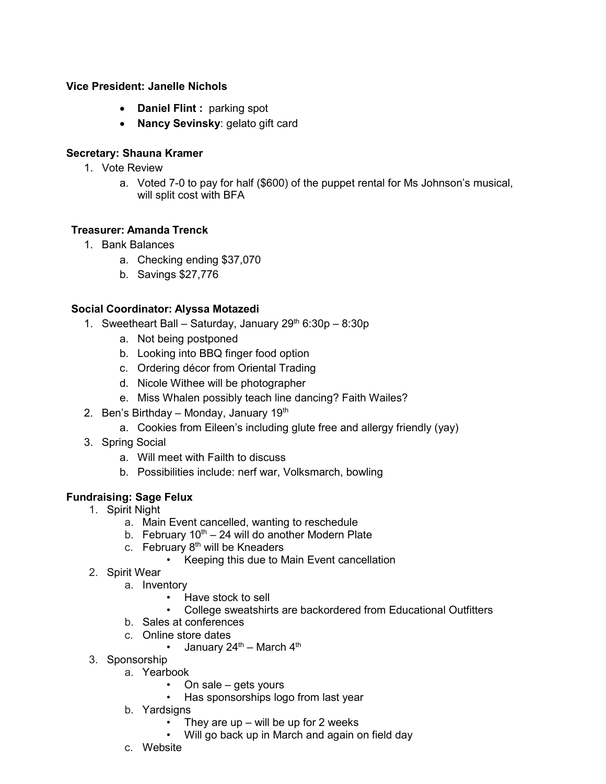#### **Vice President: Janelle Nichols**

- **Daniel Flint :** parking spot
- **Nancy Sevinsky**: gelato gift card

# **Secretary: Shauna Kramer**

- 1. Vote Review
	- a. Voted 7-0 to pay for half (\$600) of the puppet rental for Ms Johnson's musical, will split cost with BFA

#### **Treasurer: Amanda Trenck**

- 1. Bank Balances
	- a. Checking ending \$37,070
	- b. Savings \$27,776

#### **Social Coordinator: Alyssa Motazedi**

- 1. Sweetheart Ball Saturday, January  $29<sup>th</sup> 6:30p 8:30p$ 
	- a. Not being postponed
	- b. Looking into BBQ finger food option
	- c. Ordering décor from Oriental Trading
	- d. Nicole Withee will be photographer
	- e. Miss Whalen possibly teach line dancing? Faith Wailes?
- 2. Ben's Birthday Monday, January  $19<sup>th</sup>$ 
	- a. Cookies from Eileen's including glute free and allergy friendly (yay)
- 3. Spring Social
	- a. Will meet with Failth to discuss
	- b. Possibilities include: nerf war, Volksmarch, bowling

# **Fundraising: Sage Felux**

- 1. Spirit Night
	- a. Main Event cancelled, wanting to reschedule
	- b. February  $10^{th} 24$  will do another Modern Plate
	- c. February  $8<sup>th</sup>$  will be Kneaders
		- Keeping this due to Main Event cancellation
- 2. Spirit Wear
	- a. Inventory
		- Have stock to sell
		- College sweatshirts are backordered from Educational Outfitters
	- b. Sales at conferences
	- c. Online store dates
		- January  $24^{\text{th}}$  March  $4^{\text{th}}$
- 3. Sponsorship
	- a. Yearbook
		- On sale gets yours
		- Has sponsorships logo from last year
	- b. Yardsigns
		- They are up will be up for 2 weeks
		- Will go back up in March and again on field day
	- c. Website